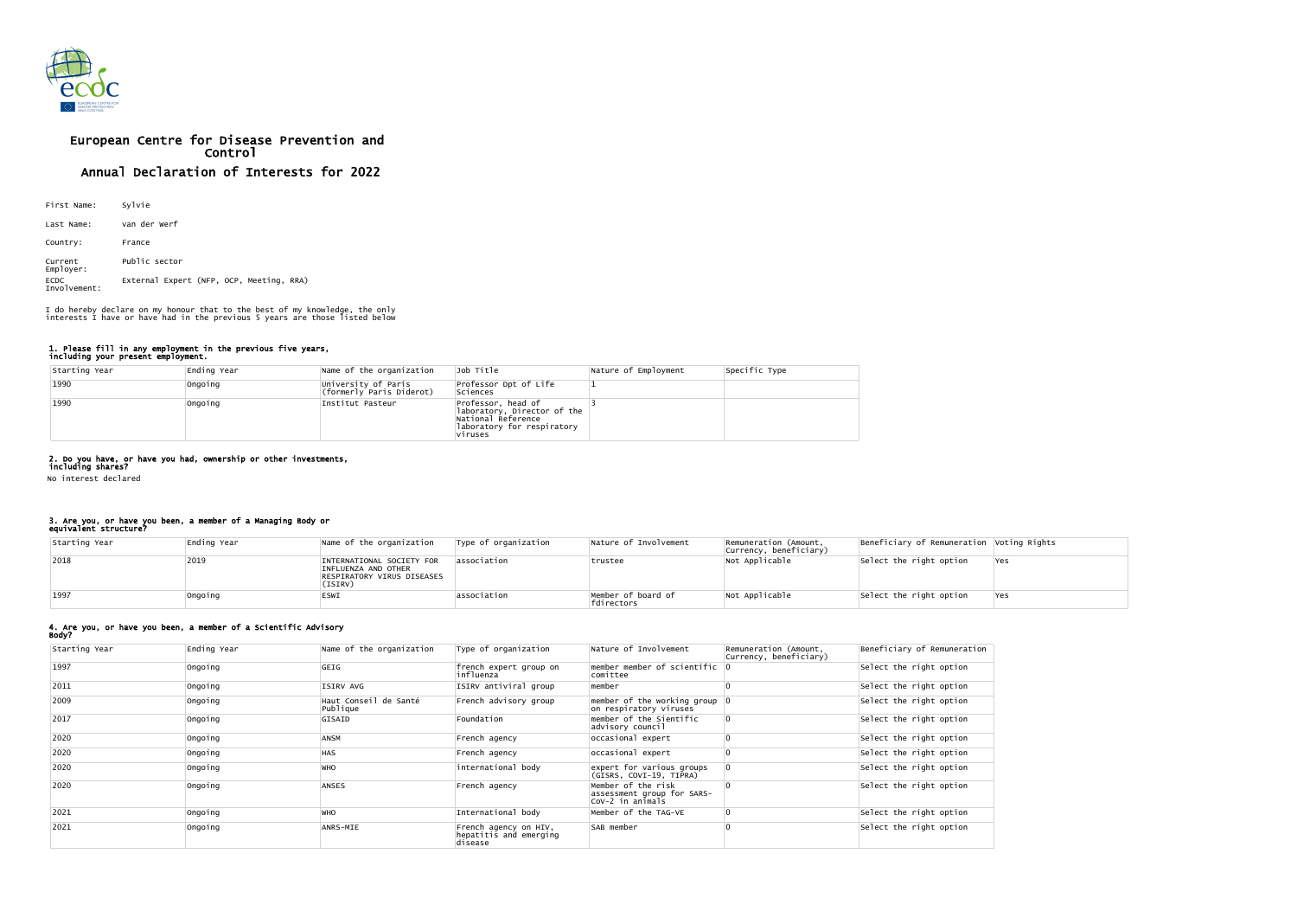

# European Centre for Disease Prevention and Control Annual Declaration of Interests for 2022

| First Name:                 | Sylvie                                   |
|-----------------------------|------------------------------------------|
| Last Name:                  | van der Werf                             |
| Country:                    | France                                   |
| Current<br>Employer:        | Public sector                            |
| <b>ECDC</b><br>Involvement: | External Expert (NFP, OCP, Meeting, RRA) |

### 1. Please fill in any employment in the previous five years, including your present employment.

| Starting Year | Ending Year | Name of the organization                        | Job Title                                                                                                        | Nature of Employment | Specific Type |
|---------------|-------------|-------------------------------------------------|------------------------------------------------------------------------------------------------------------------|----------------------|---------------|
| 1990          | Ongoing     | University of Paris<br>(formerly Paris Diderot) | Professor Dpt of Life<br>Sciences                                                                                |                      |               |
| 1990          | Ongoing     | Institut Pasteur                                | Professor, head of<br>laboratory, Director of the<br>National Reference<br>laboratory for respiratory<br>viruses |                      |               |

# 2. Do you have, or have you had, ownership or other investments,

including shares? No interest declared

#### 3. Are you, or have you been, a member of a Managing Body or equivalent structure?

| Starting Year | Ending Year | Name of the organization                                                                  | Type of organization | Nature of Involvement            | Remuneration (Amount,<br> Currency, beneficiary) | Beneficiary of Remuneration Voting Rights |     |
|---------------|-------------|-------------------------------------------------------------------------------------------|----------------------|----------------------------------|--------------------------------------------------|-------------------------------------------|-----|
| 2018          | 2019        | INTERNATIONAL SOCIETY FOR<br>INFLUENZA AND OTHER<br>RESPIRATORY VIRUS DISEASES<br>(ISIRV) | lassociation         | trustee                          | Not Applicable                                   | Select the right option                   | Yes |
| 1997          | Ongoing     | <b>ESWI</b>                                                                               | association          | Member of board of<br>fdirectors | Not Applicable                                   | Select the right option                   | Yes |

#### 4. Are you, or have you been, a member of a Scientific Advisory Body?

| Starting Year | Ending Year | Name of the organization          | Type of organization                                        | Nature of Involvement                                                 | Remuneration (Amount,<br> Currency, beneficiary) | Beneficiary of Remuneration |
|---------------|-------------|-----------------------------------|-------------------------------------------------------------|-----------------------------------------------------------------------|--------------------------------------------------|-----------------------------|
| 1997          | ongoing     | GEIG                              | french expert group on<br> influenza                        | $\blacksquare$ member of scientific $\lozenge$<br>comittee            |                                                  | Select the right option     |
| 2011          | Ongoing     | ISIRV AVG                         | ISIRV antiviral group                                       | member                                                                |                                                  | Select the right option     |
| 2009          | Ongoing     | Haut Conseil de Santé<br>Publique | French advisory group                                       | member of the working group $ 0 $<br>on respiratory viruses           |                                                  | Select the right option     |
| 2017          | ongoing     | GISAID                            | Foundation                                                  | member of the Sientific<br>advisory council                           |                                                  | Select the right option     |
| 2020          | Ongoing     | <b>ANSM</b>                       | French agency                                               | occasional expert                                                     |                                                  | Select the right option     |
| 2020          | ongoing     | <b>HAS</b>                        | French agency                                               | occasional expert                                                     |                                                  | Select the right option     |
| 2020          | Ongoing     | <b>WHO</b>                        | international body                                          | expert for various groups<br>(GISRS, COVI-19, TIPRA)                  |                                                  | Select the right option     |
| 2020          | ongoing     | <b>ANSES</b>                      | French agency                                               | Member of the risk<br>assessment group for SARS-<br> CoV-2 in animals |                                                  | Select the right option     |
| 2021          | Ongoing     | <b>WHO</b>                        | International body                                          | Member of the TAG-VE                                                  |                                                  | Select the right option     |
| 2021          | ongoing     | ANRS-MIE                          | French agency on HIV,<br>hepatitis and emerging<br> disease | SAB member                                                            |                                                  | Select the right option     |

I do hereby declare on my honour that to the best of my knowledge, the only interests I have or have had in the previous 5 years are those listed below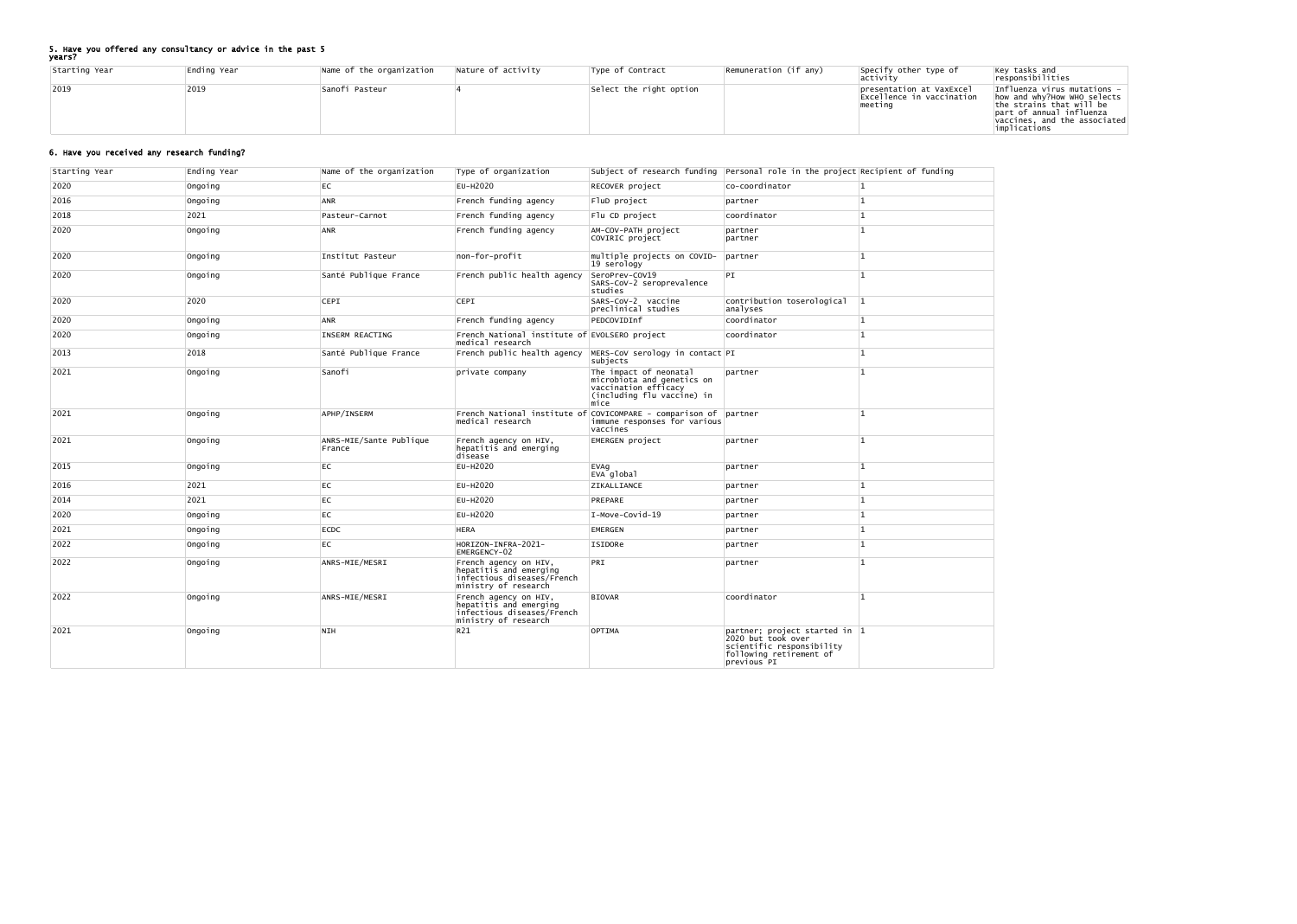## 5. Have you offered any consultancy or advice in the past 5

years?

| Starting Year | Ending Year | Name of the organization | Nature of activity | Type of Contract        | $\sqrt{\text{Remuneration (if any)}}$ | Specify other type of<br> activity                                | $\begin{array}{ l } \hline \texttt{Key tasks and} \hline \texttt{responsibilities} \hline \end{array}$                                                                                          |
|---------------|-------------|--------------------------|--------------------|-------------------------|---------------------------------------|-------------------------------------------------------------------|-------------------------------------------------------------------------------------------------------------------------------------------------------------------------------------------------|
| 2019          | 2019        | Sanofi Pasteur           |                    | Select the right option |                                       | presentation at VaxExcel<br>Excellence in vaccination<br> meetıno | Influenza virus mutations $-$<br>how and why?How WHO selects<br>$ $ the strains that will be<br>part of annual influenza<br>$\lvert \text{vaccines.} \rvert$ and the associated<br>implications |

# 6. Have you received any research funding?

| Starting Year | Ending Year | Name of the organization          | Type of organization                                                                                  |                                                                                                                     | subject of research funding Personal role in the project Recipient of funding                                              |     |
|---------------|-------------|-----------------------------------|-------------------------------------------------------------------------------------------------------|---------------------------------------------------------------------------------------------------------------------|----------------------------------------------------------------------------------------------------------------------------|-----|
| 2020          | Ongoing     | EC                                | EU-H2020                                                                                              | RECOVER project                                                                                                     | co-coordinator                                                                                                             | ∣1. |
| 2016          | ongoing     | <b>ANR</b>                        | French funding agency                                                                                 | FluD project                                                                                                        | partner                                                                                                                    |     |
| 2018          | 2021        | Pasteur-Carnot                    | French funding agency                                                                                 | Flu CD project                                                                                                      | coordinator                                                                                                                |     |
| 2020          | Ongoing     | <b>ANR</b>                        | French funding agency                                                                                 | AM-COV-PATH project<br>COVIRIC project                                                                              | partner<br>partner                                                                                                         |     |
| 2020          | Ongoing     | Institut Pasteur                  | non-for-profit                                                                                        | multiple projects on COVID-<br>$ 19$ serology                                                                       | partner                                                                                                                    |     |
| 2020          | Ongoing     | Santé Publique France             | French public health agency                                                                           | SeroPrev-COV19<br>SARS-CoV-2 seroprevalence<br>studies                                                              | PI                                                                                                                         |     |
| 2020          | 2020        | <b>CEPI</b>                       | <b>CEPI</b>                                                                                           | SARS-CoV-2 vaccine<br>preclinical studies                                                                           | contribution toserological<br>analyses                                                                                     |     |
| 2020          | Ongoing     | ANR                               | French funding agency                                                                                 | PEDCOVIDInf                                                                                                         | coordinator                                                                                                                |     |
| 2020          | Ongoing     | INSERM REACTING                   | French National institute of EVOLSERO project<br>medical research                                     |                                                                                                                     | coordinator                                                                                                                |     |
| 2013          | 2018        | Santé Publique France             |                                                                                                       | French public health agency  MERS-CoV serology in contact  PI<br>subjects                                           |                                                                                                                            |     |
| 2021          | Ongoing     | Sanofi                            | private company                                                                                       | The impact of neonatal<br>microbiota and genetics on<br>vaccination efficacy<br>(including flu vaccine) in<br>midce | partner                                                                                                                    |     |
| 2021          | Ongoing     | APHP/INSERM                       | medical research                                                                                      | French National institute of COVICOMPARE - comparison of partner<br>immune responses for various<br>vaccines        |                                                                                                                            |     |
| 2021          | Ongoing     | ANRS-MIE/Sante Publique<br>France | French agency on HIV,<br>hepatitis and emerging<br>disease                                            | EMERGEN project                                                                                                     | partner                                                                                                                    |     |
| 2015          | ongoing     | EC                                | EU-H2020                                                                                              | EVAg<br>EVA global                                                                                                  | partner                                                                                                                    |     |
| 2016          | 2021        | EC                                | EU-H2020                                                                                              | ZIKALLIANCE                                                                                                         | partner                                                                                                                    |     |
| 2014          | 2021        | <b>EC</b>                         | EU-H2020                                                                                              | PREPARE                                                                                                             | partner                                                                                                                    |     |
| 2020          | Ongoing     | <b>EC</b>                         | EU-H2020                                                                                              | $I-Move-Covid-19$                                                                                                   | partner                                                                                                                    |     |
| 2021          | Ongoing     | ECDC                              | <b>HERA</b>                                                                                           | <b>EMERGEN</b>                                                                                                      | partner                                                                                                                    |     |
| 2022          | ongoing     | EC                                | HORIZON-INFRA-2021-<br>EMERGENCY-02                                                                   | ISIDORe                                                                                                             | partner                                                                                                                    |     |
| 2022          | Ongoing     | ANRS-MIE/MESRI                    | French agency on HIV,<br>hepatitis and emerging<br>infectious diseases/French<br>ministry of research | PRI                                                                                                                 | partner                                                                                                                    |     |
| 2022          | ongoing     | ANRS-MIE/MESRI                    | French agency on HIV,<br>hepatitis and emerging<br>infectious diseases/French<br>ministry of research | <b>BIOVAR</b>                                                                                                       | coordinator                                                                                                                |     |
| 2021          | Ongoing     | <b>NIH</b>                        | R <sub>21</sub>                                                                                       | OPTIMA                                                                                                              | partner; project started in 1<br>2020 but took over<br>scientific responsibility<br>following retirement of<br>previous PI |     |